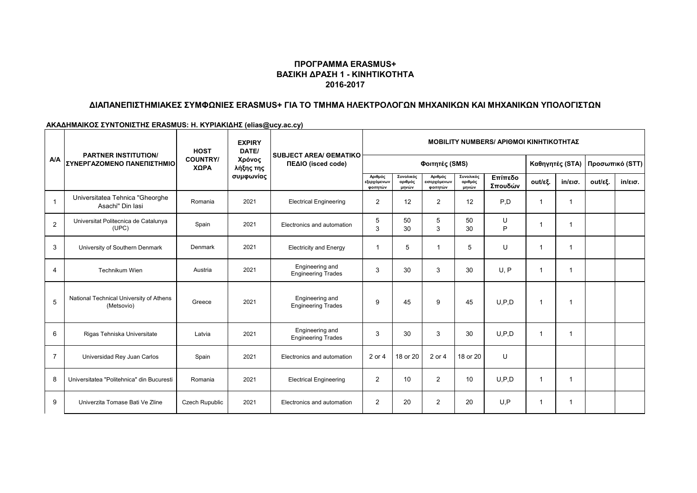### **ΠΡΟΓΡΑΜΜΑ ERASMUS+ ΒΑΣΙΚΗ ΔΡΑΣΗ 1 - ΚΙΝΗΤΙΚΟΤΗΤΑ 2016-2017**

# **ΔΙΑΠΑΝΕΠΙΣΤΗΜΙΑΚΕΣ ΣΥΜΦΩΝΙΕΣ ERASMUS+ ΓΙΑ ΤΟ ΤΜΗΜΑ ΗΛΕΚΤΡΟΛΟΓΩΝ ΜΗΧΑΝΙΚΩΝ ΚΑΙ ΜΗΧΑΝΙΚΩΝ ΥΠΟΛΟΓΙΣΤΩΝ**

#### **ΑΚΑΔΗΜΑΙΚΟΣ ΣΥΝΤΟΝΙΣΤΗΣ ERASMUS: Η. ΚΥΡΙΑΚΙΔΗΣ (elias@ucy.ac.cy)**

|                | <b>PARTNER INSTITUTION/</b><br>ΣΥΝΕΡΓΑΖΟΜΕΝΟ ΠΑΝΕΠΙΣΤΗΜΙΟ | <b>HOST</b>             | <b>EXPIRY</b><br>DATE/<br>Χρόνος<br>λήξης της<br>συμφωνίας | <b>SUBJECT AREA/ GEMATIKO</b><br>ΠΕΔΙΟ (isced code) | <b>ΜΟΒΙLITY NUMBERS/ ΑΡΙΘΜΟΙ ΚΙΝΗΤΙΚΟΤΗΤΑΣ</b> |                               |                                     |                               |                    |                         |                   |                 |                   |
|----------------|-----------------------------------------------------------|-------------------------|------------------------------------------------------------|-----------------------------------------------------|------------------------------------------------|-------------------------------|-------------------------------------|-------------------------------|--------------------|-------------------------|-------------------|-----------------|-------------------|
| <b>A/A</b>     |                                                           | <b>COUNTRY/</b><br>ΧΩΡΑ |                                                            |                                                     | Φοιτητές (SMS)                                 |                               |                                     |                               |                    | Καθηγητές (STA)         |                   | Προσωπικό (STT) |                   |
|                |                                                           |                         |                                                            |                                                     | Αριθμός<br>εξερχόμενων<br>φοιτητών             | Συνολικός<br>αριθμός<br>μηνών | Αριθμός<br>εισερχόμενων<br>φοιτητών | Συνολικός<br>αριθμός<br>μηνών | Επίπεδο<br>Σπουδών | out/εξ.                 | $in/\epsilon$ ισ. | out/εξ.         | $in/\epsilon$ ισ. |
| $\overline{1}$ | Universitatea Tehnica "Gheorghe<br>Asachi" Din Iasi       | Romania                 | 2021                                                       | <b>Electrical Engineering</b>                       | $\overline{2}$                                 | 12                            | $\overline{2}$                      | 12                            | P.D                | -1                      |                   |                 |                   |
| 2              | Universitat Politecnica de Catalunya<br>(UPC)             | Spain                   | 2021                                                       | Electronics and automation                          | 5<br>3                                         | 50<br>30                      | 5<br>3                              | 50<br>30                      | U<br>P             |                         |                   |                 |                   |
| 3              | University of Southern Denmark                            | Denmark                 | 2021                                                       | <b>Electricity and Energy</b>                       |                                                | 5                             |                                     | 5                             | U                  | -1                      |                   |                 |                   |
| $\overline{4}$ | Technikum Wien                                            | Austria                 | 2021                                                       | Engineering and<br><b>Engineering Trades</b>        | 3                                              | 30                            | 3                                   | 30                            | U.P                | $\overline{1}$          |                   |                 |                   |
| 5              | National Technical University of Athens<br>(Metsovio)     | Greece                  | 2021                                                       | Engineering and<br><b>Engineering Trades</b>        | 9                                              | 45                            | 9                                   | 45                            | U.P.D              | $\overline{1}$          |                   |                 |                   |
| 6              | Rigas Tehniska Universitate                               | Latvia                  | 2021                                                       | Engineering and<br><b>Engineering Trades</b>        | 3                                              | 30                            | 3                                   | 30                            | U.P.D              | $\overline{\mathbf{1}}$ |                   |                 |                   |
| $\overline{7}$ | Universidad Rey Juan Carlos                               | Spain                   | 2021                                                       | Electronics and automation                          | 2 or 4                                         | 18 or 20                      | 2 or 4                              | 18 or 20                      | U                  |                         |                   |                 |                   |
| 8              | Universitatea "Politehnica" din Bucuresti                 | Romania                 | 2021                                                       | <b>Electrical Engineering</b>                       | 2                                              | 10                            | $\overline{2}$                      | 10                            | U.P.D              | $\overline{\mathbf{1}}$ |                   |                 |                   |
| 9              | Univerzita Tomase Bati Ve Zline                           | <b>Czech Rupublic</b>   | 2021                                                       | Electronics and automation                          | 2                                              | 20                            | $\overline{2}$                      | 20                            | U.P                | -1                      |                   |                 |                   |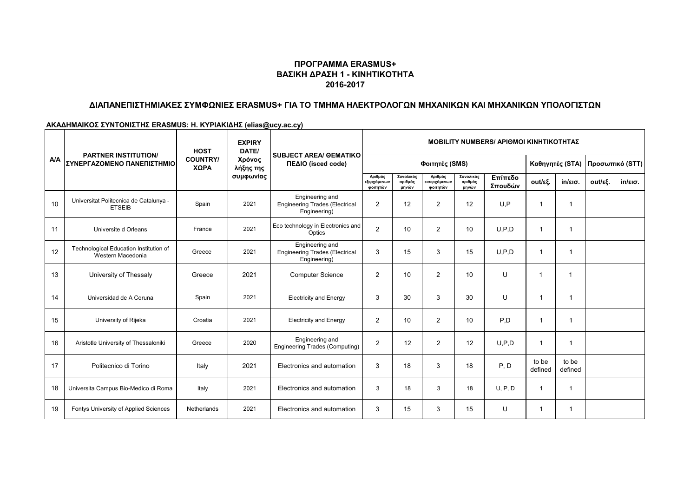### **ΠΡΟΓΡΑΜΜΑ ERASMUS+ ΒΑΣΙΚΗ ΔΡΑΣΗ 1 - ΚΙΝΗΤΙΚΟΤΗΤΑ 2016-2017**

# **ΔΙΑΠΑΝΕΠΙΣΤΗΜΙΑΚΕΣ ΣΥΜΦΩΝΙΕΣ ERASMUS+ ΓΙΑ ΤΟ ΤΜΗΜΑ ΗΛΕΚΤΡΟΛΟΓΩΝ ΜΗΧΑΝΙΚΩΝ ΚΑΙ ΜΗΧΑΝΙΚΩΝ ΥΠΟΛΟΓΙΣΤΩΝ**

**ΑΚΑΔΗΜΑΙΚΟΣ ΣΥΝΤΟΝΙΣΤΗΣ ERASMUS: Η. ΚΥΡΙΑΚΙΔΗΣ (elias@ucy.ac.cy)**

|            | <b>PARTNER INSTITUTION/</b><br>ΣΥΝΕΡΓΑΖΟΜΕΝΟ ΠΑΝΕΠΙΣΤΗΜΙΟ   | <b>HOST</b><br><b>COUNTRY/</b><br>ΧΩΡΑ | <b>EXPIRY</b><br>DATE/<br>Χρόνος<br>λήξης της | <b>SUBJECT AREA/ GEMATIKO</b><br>ΠΕΔΙΟ (isced code)                      | <b>MOBILITY NUMBERS/ APIOMOI KINHTIKOTHTAZ</b> |                               |                                     |                               |                    |                  |                   |                                   |                   |
|------------|-------------------------------------------------------------|----------------------------------------|-----------------------------------------------|--------------------------------------------------------------------------|------------------------------------------------|-------------------------------|-------------------------------------|-------------------------------|--------------------|------------------|-------------------|-----------------------------------|-------------------|
| <b>A/A</b> |                                                             |                                        |                                               |                                                                          | Φοιτητές (SMS)                                 |                               |                                     |                               |                    |                  |                   | Καθηγητές (STA)   Προσωπικό (STT) |                   |
|            |                                                             |                                        | συμφωνίας                                     |                                                                          | Αριθμός<br>εξερχόμενων<br>φοιτητών             | Συνολικός<br>αριθμός<br>μηνών | Αριθμός<br>εισερχόμενων<br>φοιτητών | Συνολικός<br>αριθμός<br>μηνών | Επίπεδο<br>Σπουδών | out/εξ.          | $in/\epsilon$ ισ. | out/εξ.                           | $in/\epsilon$ ισ. |
| 10         | Universitat Politecnica de Catalunya -<br><b>ETSEIB</b>     | Spain                                  | 2021                                          | Engineering and<br><b>Engineering Trades (Electrical</b><br>Engineering) | 2                                              | 12                            | $\overline{2}$                      | 12                            | U.P                | 1                | 1                 |                                   |                   |
| 11         | Universite d Orleans                                        | France                                 | 2021                                          | Eco technology in Electronics and<br>Optics                              | 2                                              | 10                            | 2                                   | 10                            | U.P.D              | -1               | 1                 |                                   |                   |
| 12         | Technological Education Institution of<br>Western Macedonia | Greece                                 | 2021                                          | Engineering and<br><b>Engineering Trades (Electrical</b><br>Engineering) | 3                                              | 15                            | 3                                   | 15                            | U.P.D              | 1                | 1                 |                                   |                   |
| 13         | University of Thessaly                                      | Greece                                 | 2021                                          | <b>Computer Science</b>                                                  | 2                                              | 10                            | $\overline{2}$                      | 10                            | U                  | 1                |                   |                                   |                   |
| 14         | Universidad de A Coruna                                     | Spain                                  | 2021                                          | <b>Electricity and Energy</b>                                            | 3                                              | 30                            | 3                                   | 30                            | U                  | 1                | 1                 |                                   |                   |
| 15         | University of Rijeka                                        | Croatia                                | 2021                                          | <b>Electricity and Energy</b>                                            | 2                                              | 10                            | $\overline{2}$                      | 10                            | P,D                | -1               | 1                 |                                   |                   |
| 16         | Aristotle University of Thessaloniki                        | Greece                                 | 2020                                          | Engineering and<br><b>Engineering Trades (Computing)</b>                 | 2                                              | 12                            | $\overline{2}$                      | 12                            | U.P.D              | -1               | 1                 |                                   |                   |
| 17         | Politecnico di Torino                                       | Italy                                  | 2021                                          | Electronics and automation                                               | 3                                              | 18                            | 3                                   | 18                            | P, D               | to be<br>defined | to be<br>defined  |                                   |                   |
| 18         | Universita Campus Bio-Medico di Roma                        | Italy                                  | 2021                                          | Electronics and automation                                               | 3                                              | 18                            | 3                                   | 18                            | U, P, D            | $\overline{1}$   | 1                 |                                   |                   |
| 19         | Fontys University of Applied Sciences                       | Netherlands                            | 2021                                          | Electronics and automation                                               | 3                                              | 15                            | 3                                   | 15                            | U                  | -1               | 1                 |                                   |                   |